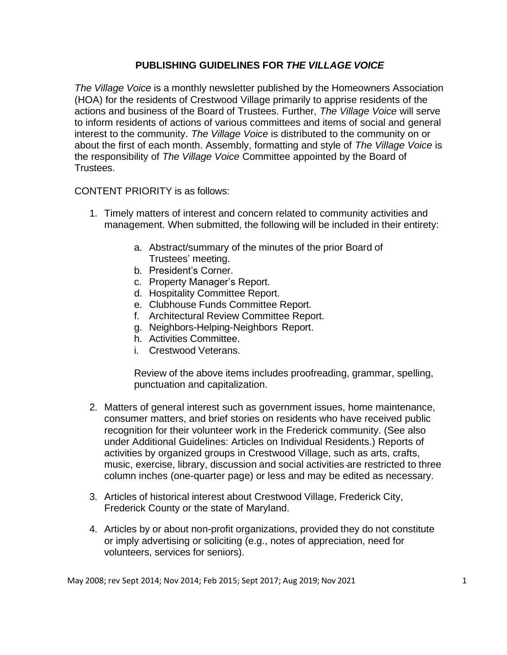## **PUBLISHING GUIDELINES FOR** *THE VILLAGE VOICE*

*The Village Voice* is a monthly newsletter published by the Homeowners Association (HOA) for the residents of Crestwood Village primarily to apprise residents of the actions and business of the Board of Trustees. Further, *The Village Voice* will serve to inform residents of actions of various committees and items of social and general interest to the community. *The Village Voice* is distributed to the community on or about the first of each month. Assembly, formatting and style of *The Village Voice* is the responsibility of *The Village Voice* Committee appointed by the Board of Trustees.

CONTENT PRIORITY is as follows:

- 1. Timely matters of interest and concern related to community activities and management. When submitted, the following will be included in their entirety:
	- a. Abstract/summary of the minutes of the prior Board of Trustees' meeting.
	- b. President's Corner.
	- c. Property Manager's Report.
	- d. Hospitality Committee Report.
	- e. Clubhouse Funds Committee Report.
	- f. Architectural Review Committee Report.
	- g. Neighbors-Helping-Neighbors Report.
	- h. Activities Committee.
	- i. Crestwood Veterans.

Review of the above items includes proofreading, grammar, spelling, punctuation and capitalization.

- 2. Matters of general interest such as government issues, home maintenance, consumer matters, and brief stories on residents who have received public recognition for their volunteer work in the Frederick community. (See also under Additional Guidelines: Articles on Individual Residents.) Reports of activities by organized groups in Crestwood Village, such as arts, crafts, music, exercise, library, discussion and social activities are restricted to three column inches (one-quarter page) or less and may be edited as necessary.
- 3. Articles of historical interest about Crestwood Village, Frederick City, Frederick County or the state of Maryland.
- 4. Articles by or about non-profit organizations, provided they do not constitute or imply advertising or soliciting (e.g., notes of appreciation, need for volunteers, services for seniors).

May 2008; rev Sept 2014; Nov 2014; Feb 2015; Sept 2017; Aug 2019; Nov 2021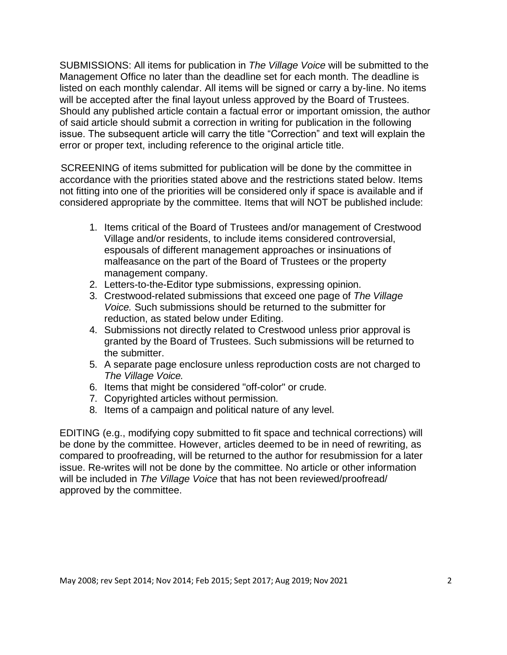SUBMISSIONS: All items for publication in *The Village Voice* will be submitted to the Management Office no later than the deadline set for each month. The deadline is listed on each monthly calendar. All items will be signed or carry a by-line. No items will be accepted after the final layout unless approved by the Board of Trustees. Should any published article contain a factual error or important omission, the author of said article should submit a correction in writing for publication in the following issue. The subsequent article will carry the title "Correction" and text will explain the error or proper text, including reference to the original article title.

SCREENING of items submitted for publication will be done by the committee in accordance with the priorities stated above and the restrictions stated below. Items not fitting into one of the priorities will be considered only if space is available and if considered appropriate by the committee. Items that will NOT be published include:

- 1. Items critical of the Board of Trustees and/or management of Crestwood Village and/or residents, to include items considered controversial, espousals of different management approaches or insinuations of malfeasance on the part of the Board of Trustees or the property management company.
- 2. Letters-to-the-Editor type submissions, expressing opinion.
- 3. Crestwood-related submissions that exceed one page of *The Village Voice.* Such submissions should be returned to the submitter for reduction, as stated below under Editing.
- 4. Submissions not directly related to Crestwood unless prior approval is granted by the Board of Trustees. Such submissions will be returned to the submitter.
- 5. A separate page enclosure unless reproduction costs are not charged to *The Village Voice.*
- 6. Items that might be considered "off-color" or crude.
- 7. Copyrighted articles without permission.
- 8. Items of a campaign and political nature of any level.

EDITING (e.g., modifying copy submitted to fit space and technical corrections) will be done by the committee. However, articles deemed to be in need of rewriting, as compared to proofreading, will be returned to the author for resubmission for a later issue. Re-writes will not be done by the committee. No article or other information will be included in *The Village Voice* that has not been reviewed/proofread/ approved by the committee.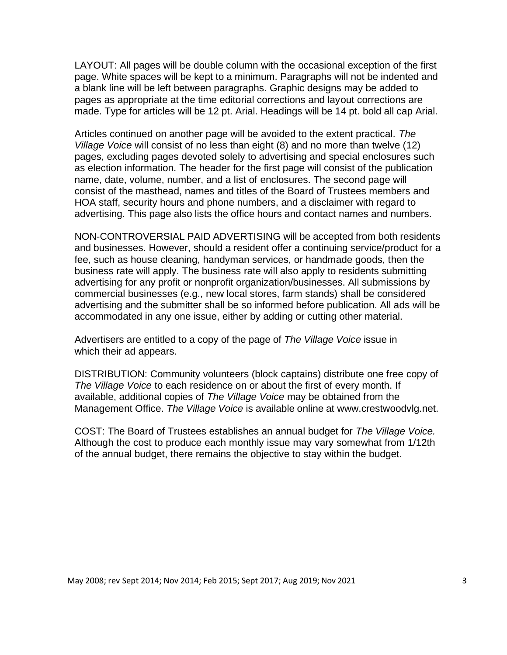LAYOUT: All pages will be double column with the occasional exception of the first page. White spaces will be kept to a minimum. Paragraphs will not be indented and a blank line will be left between paragraphs. Graphic designs may be added to pages as appropriate at the time editorial corrections and layout corrections are made. Type for articles will be 12 pt. Arial. Headings will be 14 pt. bold all cap Arial.

Articles continued on another page will be avoided to the extent practical. *The Village Voice* will consist of no less than eight (8) and no more than twelve (12) pages, excluding pages devoted solely to advertising and special enclosures such as election information. The header for the first page will consist of the publication name, date, volume, number, and a list of enclosures. The second page will consist of the masthead, names and titles of the Board of Trustees members and HOA staff, security hours and phone numbers, and a disclaimer with regard to advertising. This page also lists the office hours and contact names and numbers.

NON-CONTROVERSIAL PAID ADVERTISING will be accepted from both residents and businesses. However, should a resident offer a continuing service/product for a fee, such as house cleaning, handyman services, or handmade goods, then the business rate will apply. The business rate will also apply to residents submitting advertising for any profit or nonprofit organization/businesses. All submissions by commercial businesses (e.g., new local stores, farm stands) shall be considered advertising and the submitter shall be so informed before publication. All ads will be accommodated in any one issue, either by adding or cutting other material.

Advertisers are entitled to a copy of the page of *The Village Voice* issue in which their ad appears.

DISTRIBUTION: Community volunteers (block captains) distribute one free copy of *The Village Voice* to each residence on or about the first of every month. If available, additional copies of *The Village Voice* may be obtained from the Management Office. *The Village Voice* is available online at [www.crestwoodvlg.net.](http://www.crestwoodvlg.net/)

COST: The Board of Trustees establishes an annual budget for *The Village Voice.*  Although the cost to produce each monthly issue may vary somewhat from 1/12th of the annual budget, there remains the objective to stay within the budget.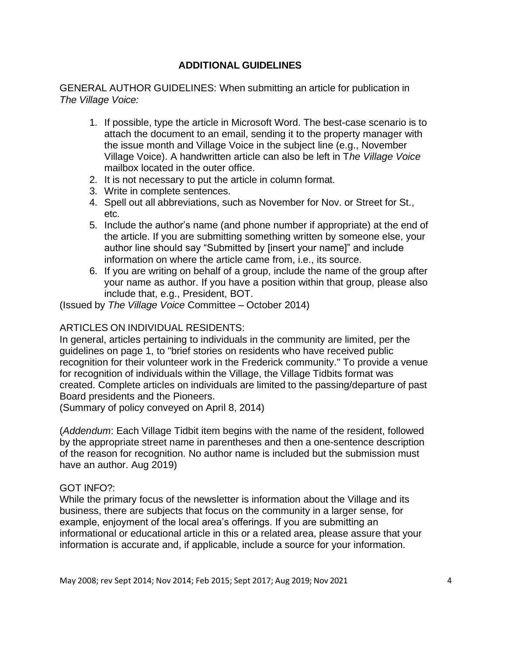## **ADDITIONAL GUIDELINES**

GENERAL AUTHOR GUIDELINES: When submitting an article for publication in *The Village Voice:*

- 1. If possible, type the article in Microsoft Word. The best-case scenario is to attach the document to an email, sending it to the property manager with the issue month and Village Voice in the subject line (e.g., November Village Voice). A handwritten article can also be left in T*he Village Voice*  mailbox located in the outer office.
- 2. It is not necessary to put the article in column format.
- 3. Write in complete sentences.
- 4. Spell out all abbreviations, such as November for Nov. or Street for St., etc.
- 5. Include the author's name (and phone number if appropriate) at the end of the article. If you are submitting something written by someone else, your author line should say "Submitted by [insert your name]" and include information on where the article came from, i.e., its source.
- 6. If you are writing on behalf of a group, include the name of the group after your name as author. If you have a position within that group, please also include that, e.g., President, BOT.

(Issued by *The Village Voice* Committee – October 2014)

# ARTICLES ON INDIVIDUAL RESIDENTS:

In general, articles pertaining to individuals in the community are limited, per the guidelines on page 1, to "brief stories on residents who have received public recognition for their volunteer work in the Frederick community." To provide a venue for recognition of individuals within the Village, the Village Tidbits format was created. Complete articles on individuals are limited to the passing/departure of past Board presidents and the Pioneers.

(Summary of policy conveyed on April 8, 2014)

(*Addendum*: Each Village Tidbit item begins with the name of the resident, followed by the appropriate street name in parentheses and then a one-sentence description of the reason for recognition. No author name is included but the submission must have an author. Aug 2019)

### GOT INFO?:

While the primary focus of the newsletter is information about the Village and its business, there are subjects that focus on the community in a larger sense, for example, enjoyment of the local area's offerings. If you are submitting an informational or educational article in this or a related area, please assure that your information is accurate and, if applicable, include a source for your information.